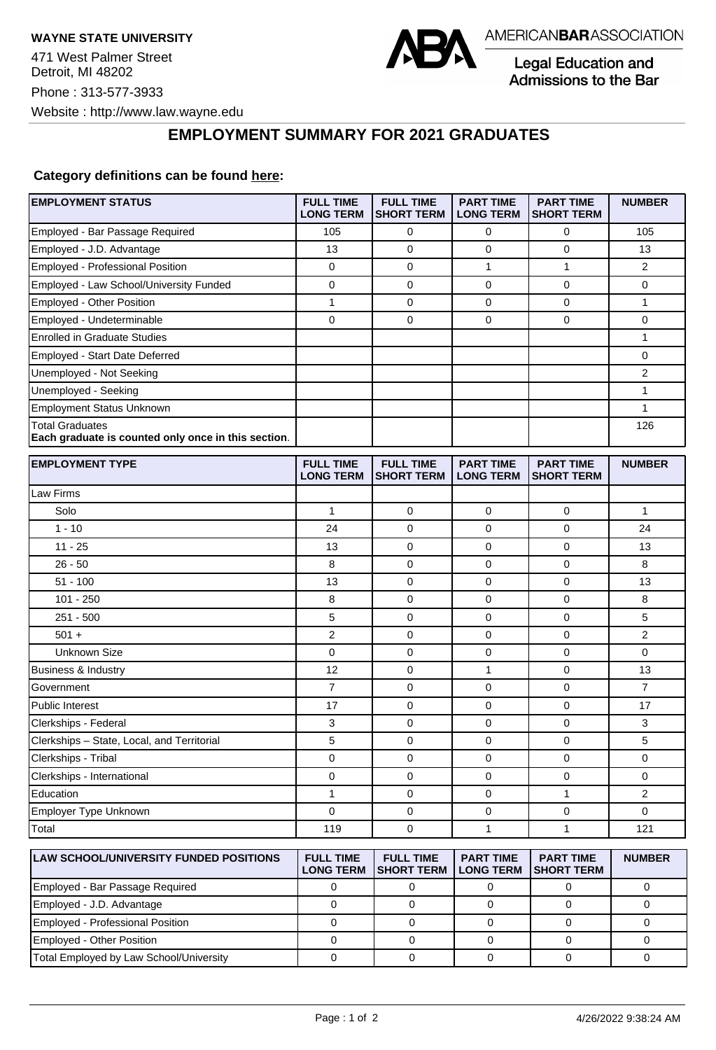

Legal Education and Admissions to the Bar

## **EMPLOYMENT SUMMARY FOR 2021 GRADUATES**

## **Category definitions can be found [here:](https://www.americanbar.org/content/dam/aba/administrative/legal_education_and_admissions_to_the_bar/Questionnaires/2021/2022-employment-protocols-for-the-class-of-2021-september-2021.pdf)**

| <b>EMPLOYMENT STATUS</b>                                                      | <b>FULL TIME</b><br><b>LONG TERM</b> | <b>FULL TIME</b><br><b>SHORT TERM</b> | <b>PART TIME</b><br><b>LONG TERM</b> | <b>PART TIME</b><br><b>SHORT TERM</b> | <b>NUMBER</b>  |
|-------------------------------------------------------------------------------|--------------------------------------|---------------------------------------|--------------------------------------|---------------------------------------|----------------|
| Employed - Bar Passage Required                                               | 105                                  | 0                                     | 0                                    | 0                                     | 105            |
| Employed - J.D. Advantage                                                     | 13                                   | 0                                     | 0                                    | 0                                     | 13             |
| Employed - Professional Position                                              | 0                                    | $\mathbf 0$                           | 1                                    | $\mathbf{1}$                          | $\overline{2}$ |
| Employed - Law School/University Funded                                       | 0                                    | 0                                     | 0                                    | 0                                     | 0              |
| Employed - Other Position                                                     | 1                                    | 0                                     | 0                                    | $\mathbf 0$                           | 1              |
| Employed - Undeterminable                                                     | 0                                    | $\mathbf 0$                           | 0                                    | $\mathbf 0$                           | 0              |
| <b>Enrolled in Graduate Studies</b>                                           |                                      |                                       |                                      |                                       | 1              |
| Employed - Start Date Deferred                                                |                                      |                                       |                                      |                                       | 0              |
| Unemployed - Not Seeking                                                      |                                      |                                       |                                      |                                       | $\overline{2}$ |
| Unemployed - Seeking                                                          |                                      |                                       |                                      |                                       | $\mathbf{1}$   |
| <b>Employment Status Unknown</b>                                              |                                      |                                       |                                      |                                       | 1              |
| <b>Total Graduates</b><br>Each graduate is counted only once in this section. |                                      |                                       |                                      |                                       | 126            |
| <b>EMPLOYMENT TYPE</b>                                                        | <b>FULL TIME</b><br><b>LONG TERM</b> | <b>FULL TIME</b><br><b>SHORT TERM</b> | <b>PART TIME</b><br><b>LONG TERM</b> | <b>PART TIME</b><br><b>SHORT TERM</b> | <b>NUMBER</b>  |
| Law Firms                                                                     |                                      |                                       |                                      |                                       |                |
| Solo                                                                          | 1                                    | 0                                     | 0                                    | 0                                     | 1              |
| $1 - 10$                                                                      | 24                                   | $\mathbf 0$                           | 0                                    | $\mathbf 0$                           | 24             |
| $11 - 25$                                                                     | 13                                   | $\mathbf 0$                           | 0                                    | $\mathbf 0$                           | 13             |
| $26 - 50$                                                                     | 8                                    | $\mathbf 0$                           | 0                                    | 0                                     | 8              |
| $51 - 100$                                                                    | 13                                   | 0                                     | 0                                    | $\mathbf 0$                           | 13             |
| $101 - 250$                                                                   | 8                                    | 0                                     | 0                                    | 0                                     | 8              |
| $251 - 500$                                                                   | 5                                    | $\mathbf 0$                           | 0                                    | $\mathbf 0$                           | 5              |
| $501 +$                                                                       | 2                                    | 0                                     | 0                                    | $\mathbf 0$                           | $\overline{2}$ |
| <b>Unknown Size</b>                                                           | 0                                    | 0                                     | 0                                    | $\mathbf 0$                           | 0              |
| Business & Industry                                                           | 12                                   | 0                                     | 1                                    | 0                                     | 13             |
| Government                                                                    | $\overline{7}$                       | 0                                     | 0                                    | $\mathbf 0$                           | $\overline{7}$ |
| <b>Public Interest</b>                                                        | 17                                   | $\mathbf 0$                           | 0                                    | $\mathbf 0$                           | 17             |
| Clerkships - Federal                                                          | 3                                    | $\mathbf 0$                           | 0                                    | 0                                     | 3              |
| Clerkships - State, Local, and Territorial                                    | 5                                    | $\mathbf 0$                           | 0                                    | $\mathbf 0$                           | 5              |
| Clerkships - Tribal                                                           | 0                                    | 0                                     | 0                                    | 0                                     | 0              |
| Clerkships - International                                                    | 0                                    | $\mathbf 0$                           | 0                                    | $\mathbf 0$                           | 0              |
| Education                                                                     | 1                                    | 0                                     | 0                                    | $\mathbf{1}$                          | 2              |
| Employer Type Unknown                                                         | 0                                    | 0                                     | 0                                    | 0                                     | 0              |
| Total                                                                         | 119                                  | 0                                     | 1                                    | $\mathbf{1}$                          | 121            |
| <b>LAW SCHOOL/UNIVERSITY FUNDED POSITIONS</b>                                 | <b>FULL TIME</b><br><b>LONG TERM</b> | <b>FULL TIME</b><br><b>SHORT TERM</b> | <b>PART TIME</b><br><b>LONG TERM</b> | <b>PART TIME</b><br><b>SHORT TERM</b> | <b>NUMBER</b>  |
| Employed - Bar Passage Required                                               | 0                                    | 0                                     | $\mathbf 0$                          | 0                                     | 0              |
| Employed - J.D. Advantage                                                     | $\mathbf 0$                          | $\mathbf 0$                           | 0                                    | 0                                     | 0              |

Employed - Professional Position 0 0 0 0 0 Employed - Other Position 0 0 0 0 0 Total Employed by Law School/University 0 0 0 0 0